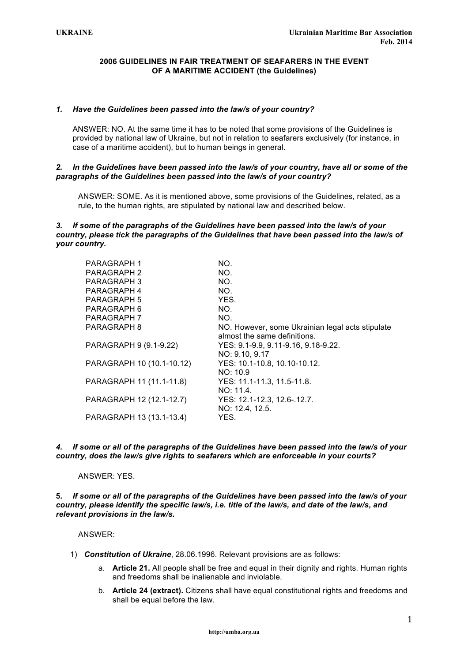## **2006 GUIDELINES IN FAIR TREATMENT OF SEAFARERS IN THE EVENT OF A MARITIME ACCIDENT (the Guidelines)**

## *1. Have the Guidelines been passed into the law/s of your country?*

ANSWER: NO. At the same time it has to be noted that some provisions of the Guidelines is provided by national law of Ukraine, but not in relation to seafarers exclusively (for instance, in case of a maritime accident), but to human beings in general.

#### *2. In the Guidelines have been passed into the law/s of your country, have all or some of the paragraphs of the Guidelines been passed into the law/s of your country?*

ANSWER: SOME. As it is mentioned above, some provisions of the Guidelines, related, as a rule, to the human rights, are stipulated by national law and described below.

## *3. If some of the paragraphs of the Guidelines have been passed into the law/s of your country, please tick the paragraphs of the Guidelines that have been passed into the law/s of your country.*

| NO.                                              |
|--------------------------------------------------|
| NO.                                              |
| NO.                                              |
| NO.                                              |
| YES.                                             |
| NO.                                              |
| NO.                                              |
| NO. However, some Ukrainian legal acts stipulate |
| almost the same definitions.                     |
| YES: 9.1-9.9, 9.11-9.16, 9.18-9.22.              |
| NO: 9.10, 9.17                                   |
| YES: 10.1-10.8, 10.10-10.12.                     |
| NO: 10.9                                         |
| YES: 11.1-11.3, 11.5-11.8.                       |
| NO: 11.4.                                        |
| YES: 12.1-12.3, 12.6-.12.7.                      |
| NO: 12.4, 12.5.                                  |
| YES.                                             |
|                                                  |

*4. If some or all of the paragraphs of the Guidelines have been passed into the law/s of your country, does the law/s give rights to seafarers which are enforceable in your courts?*

#### ANSWER: YES.

**5.** *If some or all of the paragraphs of the Guidelines have been passed into the law/s of your country, please identify the specific law/s, i.e. title of the law/s, and date of the law/s, and relevant provisions in the law/s.*

ANSWER:

- 1) *Constitution of Ukraine*, 28.06.1996. Relevant provisions are as follows:
	- a. **Article 21.** All people shall be free and equal in their dignity and rights. Human rights and freedoms shall be inalienable and inviolable.
	- b. **Article 24 (extract).** Citizens shall have equal constitutional rights and freedoms and shall be equal before the law.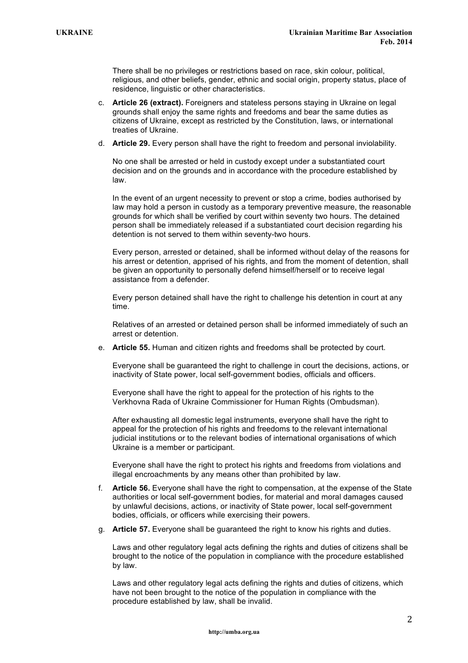There shall be no privileges or restrictions based on race, skin colour, political, religious, and other beliefs, gender, ethnic and social origin, property status, place of residence, linguistic or other characteristics.

- c. **Article 26 (extract).** Foreigners and stateless persons staying in Ukraine on legal grounds shall enjoy the same rights and freedoms and bear the same duties as citizens of Ukraine, except as restricted by the Constitution, laws, or international treaties of Ukraine.
- d. **Article 29.** Every person shall have the right to freedom and personal inviolability.

No one shall be arrested or held in custody except under a substantiated court decision and on the grounds and in accordance with the procedure established by law.

In the event of an urgent necessity to prevent or stop a crime, bodies authorised by law may hold a person in custody as a temporary preventive measure, the reasonable grounds for which shall be verified by court within seventy two hours. The detained person shall be immediately released if a substantiated court decision regarding his detention is not served to them within seventy-two hours.

Every person, arrested or detained, shall be informed without delay of the reasons for his arrest or detention, apprised of his rights, and from the moment of detention, shall be given an opportunity to personally defend himself/herself or to receive legal assistance from a defender.

Every person detained shall have the right to challenge his detention in court at any time.

Relatives of an arrested or detained person shall be informed immediately of such an arrest or detention.

e. **Article 55.** Human and citizen rights and freedoms shall be protected by court.

Everyone shall be guaranteed the right to challenge in court the decisions, actions, or inactivity of State power, local self-government bodies, officials and officers.

Everyone shall have the right to appeal for the protection of his rights to the Verkhovna Rada of Ukraine Commissioner for Human Rights (Ombudsman).

After exhausting all domestic legal instruments, everyone shall have the right to appeal for the protection of his rights and freedoms to the relevant international judicial institutions or to the relevant bodies of international organisations of which Ukraine is a member or participant.

Everyone shall have the right to protect his rights and freedoms from violations and illegal encroachments by any means other than prohibited by law.

- f. **Article 56.** Everyone shall have the right to compensation, at the expense of the State authorities or local self-government bodies, for material and moral damages caused by unlawful decisions, actions, or inactivity of State power, local self-government bodies, officials, or officers while exercising their powers.
- g. **Article 57.** Everyone shall be guaranteed the right to know his rights and duties.

Laws and other regulatory legal acts defining the rights and duties of citizens shall be brought to the notice of the population in compliance with the procedure established by law.

Laws and other regulatory legal acts defining the rights and duties of citizens, which have not been brought to the notice of the population in compliance with the procedure established by law, shall be invalid.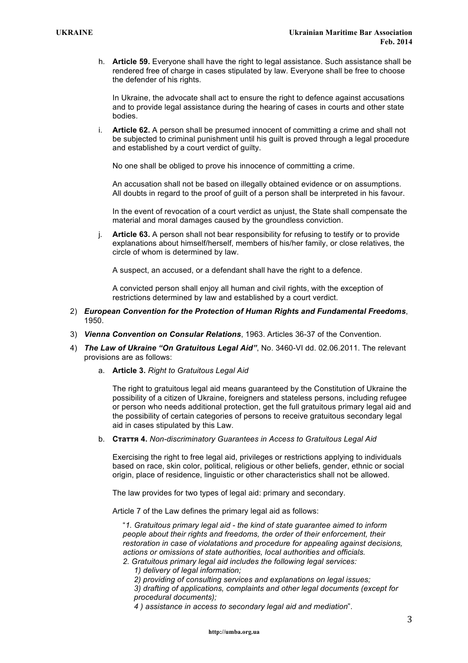h. **Article 59.** Everyone shall have the right to legal assistance. Such assistance shall be rendered free of charge in cases stipulated by law. Everyone shall be free to choose the defender of his rights.

In Ukraine, the advocate shall act to ensure the right to defence against accusations and to provide legal assistance during the hearing of cases in courts and other state bodies.

i. **Article 62.** A person shall be presumed innocent of committing a crime and shall not be subjected to criminal punishment until his guilt is proved through a legal procedure and established by a court verdict of guilty.

No one shall be obliged to prove his innocence of committing a crime.

An accusation shall not be based on illegally obtained evidence or on assumptions. All doubts in regard to the proof of guilt of a person shall be interpreted in his favour.

In the event of revocation of a court verdict as unjust, the State shall compensate the material and moral damages caused by the groundless conviction.

j. **Article 63.** A person shall not bear responsibility for refusing to testify or to provide explanations about himself/herself, members of his/her family, or close relatives, the circle of whom is determined by law.

A suspect, an accused, or a defendant shall have the right to a defence.

A convicted person shall enjoy all human and civil rights, with the exception of restrictions determined by law and established by a court verdict.

- 2) *European Convention for the Protection of Human Rights and Fundamental Freedoms*, 1950.
- 3) *Vienna Convention on Consular Relations*, 1963. Articles 36-37 of the Convention.
- 4) *The Law of Ukraine "On Gratuitous Legal Aid"*, No. 3460-VI dd. 02.06.2011. The relevant provisions are as follows:
	- a. **Article 3.** *Right to Gratuitous Legal Aid*

The right to gratuitous legal aid means guaranteed by the Constitution of Ukraine the possibility of a citizen of Ukraine, foreigners and stateless persons, including refugee or person who needs additional protection, get the full gratuitous primary legal aid and the possibility of certain categories of persons to receive gratuitous secondary legal aid in cases stipulated by this Law.

b. **Стаття 4.** *Non-discriminatory Guarantees in Access to Gratuitous Legal Aid*

Exercising the right to free legal aid, privileges or restrictions applying to individuals based on race, skin color, political, religious or other beliefs, gender, ethnic or social origin, place of residence, linguistic or other characteristics shall not be allowed.

The law provides for two types of legal aid: primary and secondary.

Article 7 of the Law defines the primary legal aid as follows:

"*1. Gratuitous primary legal aid - the kind of state guarantee aimed to inform people about their rights and freedoms, the order of their enforcement, their restoration in case of violatations and procedure for appealing against decisions, actions or omissions of state authorities, local authorities and officials.*

- *2. Gratuitous primary legal aid includes the following legal services:*
	- *1) delivery of legal information;*
	- *2) providing of consulting services and explanations on legal issues;*

*3) drafting of applications, complaints and other legal documents (except for procedural documents);*

*4 ) assistance in access to secondary legal aid and mediation*".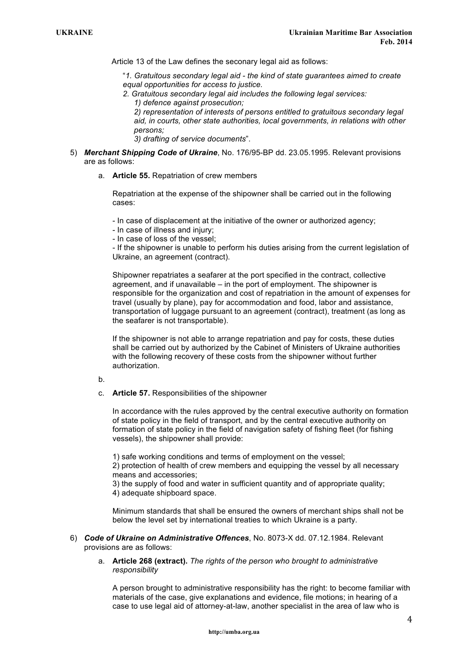Article 13 of the Law defines the seconary legal aid as follows:

"*1. Gratuitous secondary legal aid - the kind of state guarantees aimed to create equal opportunities for access to justice.* 

*2. Gratuitous secondary legal aid includes the following legal services: 1) defence against prosecution;* 

*2) representation of interests of persons entitled to gratuitous secondary legal aid, in courts, other state authorities, local governments, in relations with other persons;* 

*3) drafting of service documents*".

- 5) *Merchant Shipping Code of Ukraine*, No. 176/95-ВР dd. 23.05.1995. Relevant provisions are as follows:
	- a. **Article 55.** Repatriation of crew members

Repatriation at the expense of the shipowner shall be carried out in the following cases:

- In case of displacement at the initiative of the owner or authorized agency;

- In case of illness and injury;

- In case of loss of the vessel;

- If the shipowner is unable to perform his duties arising from the current legislation of Ukraine, an agreement (contract).

Shipowner repatriates a seafarer at the port specified in the contract, collective agreement, and if unavailable – in the port of employment. The shipowner is responsible for the organization and cost of repatriation in the amount of expenses for travel (usually by plane), pay for accommodation and food, labor and assistance, transportation of luggage pursuant to an agreement (contract), treatment (as long as the seafarer is not transportable).

If the shipowner is not able to arrange repatriation and pay for costs, these duties shall be carried out by authorized by the Cabinet of Ministers of Ukraine authorities with the following recovery of these costs from the shipowner without further authorization.

b.

c. **Article 57.** Responsibilities of the shipowner

In accordance with the rules approved by the central executive authority on formation of state policy in the field of transport, and by the central executive authority on formation of state policy in the field of navigation safety of fishing fleet (for fishing vessels), the shipowner shall provide:

1) safe working conditions and terms of employment on the vessel;

2) protection of health of crew members and equipping the vessel by all necessary means and accessories;

3) the supply of food and water in sufficient quantity and of appropriate quality;

4) adequate shipboard space.

Minimum standards that shall be ensured the owners of merchant ships shall not be below the level set by international treaties to which Ukraine is a party.

- 6) *Code of Ukraine on Administrative Offences*, No. 8073-X dd. 07.12.1984. Relevant provisions are as follows:
	- a. **Article 268 (extract).** *The rights of the person who brought to administrative responsibility*

A person brought to administrative responsibility has the right: to become familiar with materials of the case, give explanations and evidence, file motions; in hearing of a case to use legal aid of attorney-at-law, another specialist in the area of law who is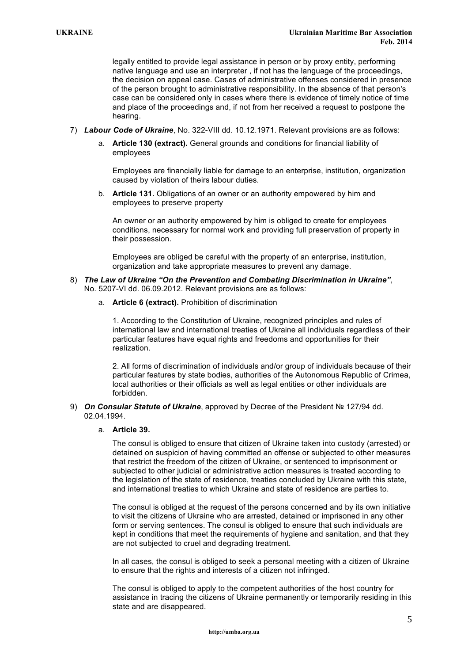legally entitled to provide legal assistance in person or by proxy entity, performing native language and use an interpreter , if not has the language of the proceedings, the decision on appeal case. Cases of administrative offenses considered in presence of the person brought to administrative responsibility. In the absence of that person's case can be considered only in cases where there is evidence of timely notice of time and place of the proceedings and, if not from her received a request to postpone the hearing.

- 7) *Labour Code of Ukraine*, No. 322-VIII dd. 10.12.1971. Relevant provisions are as follows:
	- a. **Article 130 (extract).** General grounds and conditions for financial liability of employees

Employees are financially liable for damage to an enterprise, institution, organization caused by violation of theirs labour duties.

b. **Article 131.** Obligations of an owner or an authority empowered by him and employees to preserve property

An owner or an authority empowered by him is obliged to create for employees conditions, necessary for normal work and providing full preservation of property in their possession.

Employees are obliged be careful with the property of an enterprise, institution, organization and take appropriate measures to prevent any damage.

- 8) *The Law of Ukraine "On the Prevention and Combating Discrimination in Ukraine"*, No. 5207-VI dd. 06.09.2012. Relevant provisions are as follows:
	- a. **Article 6 (extract).** Prohibition of discrimination

1. According to the Constitution of Ukraine, recognized principles and rules of international law and international treaties of Ukraine all individuals regardless of their particular features have equal rights and freedoms and opportunities for their realization.

2. All forms of discrimination of individuals and/or group of individuals because of their particular features by state bodies, authorities of the Autonomous Republic of Crimea, local authorities or their officials as well as legal entities or other individuals are forbidden.

9) *On Consular Statute of Ukraine*, approved by Decree of the President № 127/94 dd. 02.04.1994.

# a. **Article 39.**

The consul is obliged to ensure that citizen of Ukraine taken into custody (arrested) or detained on suspicion of having committed an offense or subjected to other measures that restrict the freedom of the citizen of Ukraine, or sentenced to imprisonment or subjected to other judicial or administrative action measures is treated according to the legislation of the state of residence, treaties concluded by Ukraine with this state, and international treaties to which Ukraine and state of residence are parties to.

The consul is obliged at the request of the persons concerned and by its own initiative to visit the citizens of Ukraine who are arrested, detained or imprisoned in any other form or serving sentences. The consul is obliged to ensure that such individuals are kept in conditions that meet the requirements of hygiene and sanitation, and that they are not subjected to cruel and degrading treatment.

In all cases, the consul is obliged to seek a personal meeting with a citizen of Ukraine to ensure that the rights and interests of a citizen not infringed.

The consul is obliged to apply to the competent authorities of the host country for assistance in tracing the citizens of Ukraine permanently or temporarily residing in this state and are disappeared.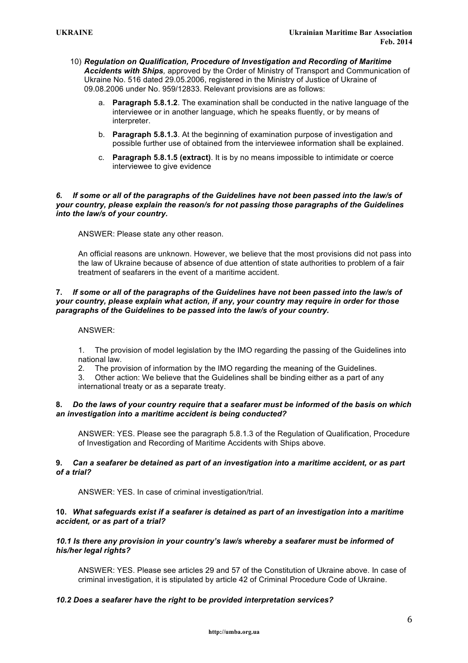- 10) *Regulation on Qualification, Procedure of Investigation and Recording of Maritime Accidents with Ships,* approved by the Order of Ministry of Transport and Communication of Ukraine No. 516 dated 29.05.2006, registered in the Ministry of Justice of Ukraine of 09.08.2006 under No. 959/12833. Relevant provisions are as follows:
	- a. **Paragraph 5.8.1.2**. The examination shall be conducted in the native language of the interviewee or in another language, which he speaks fluently, or by means of interpreter.
	- b. **Paragraph 5.8.1.3**. At the beginning of examination purpose of investigation and possible further use of obtained from the interviewee information shall be explained.
	- c. **Paragraph 5.8.1.5 (extract)**. It is by no means impossible to intimidate or coerce interviewee to give evidence

#### *6. If some or all of the paragraphs of the Guidelines have not been passed into the law/s of your country, please explain the reason/s for not passing those paragraphs of the Guidelines into the law/s of your country.*

ANSWER: Please state any other reason.

An official reasons are unknown. However, we believe that the most provisions did not pass into the law of Ukraine because of absence of due attention of state authorities to problem of a fair treatment of seafarers in the event of a maritime accident.

## **7.** *If some or all of the paragraphs of the Guidelines have not been passed into the law/s of your country, please explain what action, if any, your country may require in order for those paragraphs of the Guidelines to be passed into the law/s of your country.*

#### ANSWER:

1. The provision of model legislation by the IMO regarding the passing of the Guidelines into national law.

2. The provision of information by the IMO regarding the meaning of the Guidelines.

3. Other action: We believe that the Guidelines shall be binding either as a part of any international treaty or as a separate treaty.

## **8.** *Do the laws of your country require that a seafarer must be informed of the basis on which an investigation into a maritime accident is being conducted?*

ANSWER: YES. Please see the paragraph 5.8.1.3 of the Regulation of Qualification, Procedure of Investigation and Recording of Maritime Accidents with Ships above.

## **9.** *Can a seafarer be detained as part of an investigation into a maritime accident, or as part of a trial?*

ANSWER: YES. In case of criminal investigation/trial.

## **10.** *What safeguards exist if a seafarer is detained as part of an investigation into a maritime accident, or as part of a trial?*

## *10.1 Is there any provision in your country's law/s whereby a seafarer must be informed of his/her legal rights?*

ANSWER: YES. Please see articles 29 and 57 of the Constitution of Ukraine above. In case of criminal investigation, it is stipulated by article 42 of Criminal Procedure Code of Ukraine.

## *10.2 Does a seafarer have the right to be provided interpretation services?*